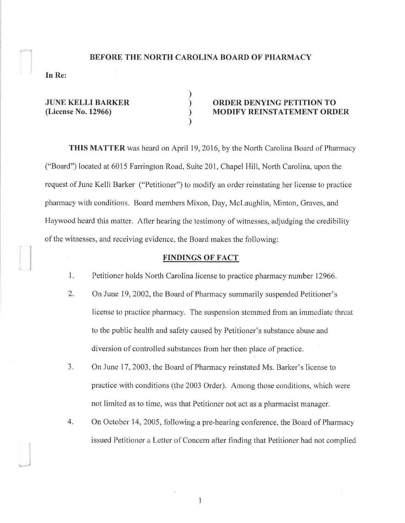### BEFORE THE NORTH CAROLINA BOARD OF PHARMACY

) ) ) )

In Re:

'- -ì

JUNE KELLI BARKER (License No. 12966)

## ORDER DENYING PETITION TO MODIFY REINSTATEMENT ORDER

THIS MATTER was heard on April 19,2016, by the North Carolina Board of Pharmacy ("Board") located at 6015 Farrington Road, Suite 201, Chapel Hill, North Carolina, upon the request of June Kelli Barker ("Petitioner") to modify an order reinstating her license to practice pharrnacy with conditions. Board members Mixon, Day, Mclaughlin, Minton, Graves, and Flaywood heard this matter. After hearing the testimony of witnesses, adjudging the credibility of the witnesses, and receiving evidence, the Board makes the following:

#### FINDINGS OF FACT

- 1. Petitioner holds North Carolina license to practice pharmacy number 12966.
- 2. On June 19, 2002, the Board of Pharmacy summarily suspended Petitioner's license to practice pharmacy. The suspension stemmed from an immediate threat to the public health and safety caused by Petitioner's substance abuse and diversion of controlled substances from her then place of practice.
- 3. On June 17, 2003, the Board of Pharmacy reinstated Ms. Barker's license to practice with conditions (the 2003 Order). Among those conditions, which were not limited as to time, was that Petitioner not act as a pharmacist manager.
- 4. On October 14, 2005, following a pre-hearing conference, the Board of Pharmacy issued Petitioner a Letter of Concem after finding that Petitioner had not complied

1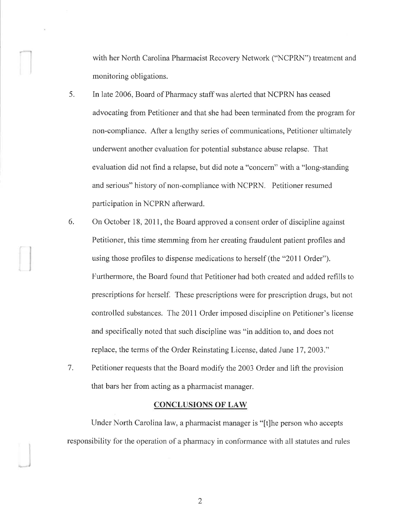with her North Carolina Pharmacist Recovery Network ("NCPRN") treatment and monitoring obligations.

-l

- 5. In late 2006, Board of Pharmacy staff was alerted that NCPRN has ceased advocating from Petitioner and that she had been terminated from the program for non-compliance. After a lengthy series of communications, Petitioner ultimately underwent another evaluation for potential substance abuse relapse. That evaluation did not find a relapse, but did note a "concern" with a "long-standing and serious" history of non-compliance with NCPRN. Petitioner resumed participation in NCPRN afterward.
- 6. On October 18, 2011, the Board approved a consent order of discipline against Petitioner, this time stemming from her creating fraudulent patient profiles and using those profiles to dispense medications to herself (the "2011 Order"). Furthermore, the Board found that Petitioner had both created and added refills to prescriptions for herself. These prescriptions were for prescription drugs, but not controlled substances. The 2011 Order imposed discipline on Petitioner's license and specifically noted that such discipline was "in addition to, and does not replace, the terms of the Order Reinstating License, dated June 17, 2003."
- 7. Petitioner requests that the Board modify the 2003 Order and lift the provision that bars her from acting as a pharmacist manager.

#### CONCLUSIONS OF LAW

Under North Carolina law, a pharmacist manager is "[t]he person who accepts responsibility for the operation of a pharmacy in conformance with all statutes and rules

2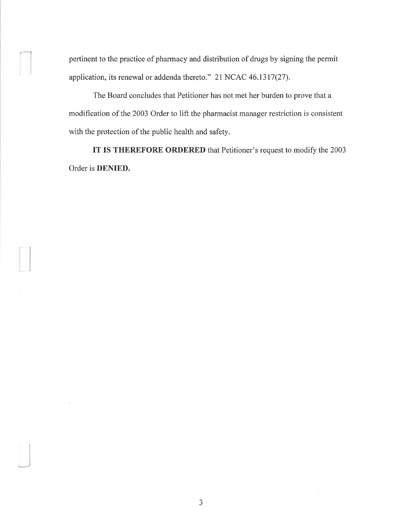pertinent to the practice of pharmacy and distribution of drugs by signing the permit application, its renewal or addenda thereto." 21 NCAC 46.1317(27).

I

 $\overline{\phantom{a}}$ 

The Board concludes that Petitioner has not met her burden to prove that a modification of the 2003 Order to lift the pharmacist manager restriction is consistent with the protection of the public health and safety.

IT IS THEREFORE ORDERED that Petitioner's request to modify the 2003 Order is DENIED.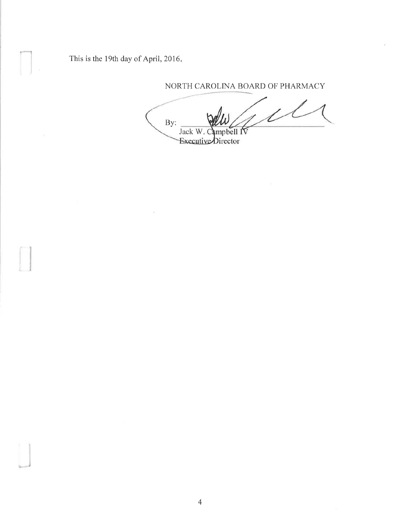This is the 19th day of April, 2016.

NORTH CAROLINA BOARD OF PHARMACY

 $\mu\ell$ By: Jack W. Campbell IV